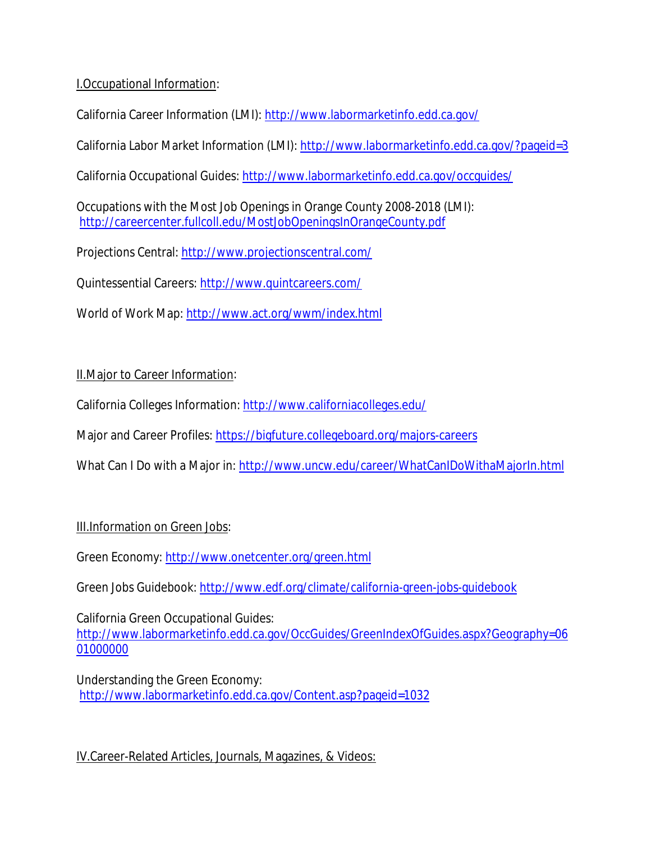## I.Occupational Information:

California Career Information (LMI): http://www.labormarketinfo.edd.ca.gov/

California Labor Market Information (LMI): http://www.labormarketinfo.edd.ca.gov/?pageid=3

California Occupational Guides: http://www.labormarketinfo.edd.ca.gov/occguides/

Occupations with the Most Job Openings in Orange County 2008-2018 (LMI): http://careercenter.fullcoll.edu/MostJobOpeningsInOrangeCounty.pdf

Projections Central: http://www.projectionscentral.com/

Quintessential Careers: http://www.quintcareers.com/

World of Work Map: http://www.act.org/wwm/index.html

## II.Major to Career Information:

California Colleges Information: http://www.californiacolleges.edu/

Major and Career Profiles: https://bigfuture.collegeboard.org/majors-careers

What Can I Do with a Major in: http://www.uncw.edu/career/WhatCanIDoWithaMajorIn.html

## III.Information on Green Jobs:

Green Economy: http://www.onetcenter.org/green.html

Green Jobs Guidebook: http://www.edf.org/climate/california-green-jobs-guidebook

California Green Occupational Guides: http://www.labormarketinfo.edd.ca.gov/OccGuides/GreenIndexOfGuides.aspx?Geography=06 01000000

Understanding the Green Economy: http://www.labormarketinfo.edd.ca.gov/Content.asp?pageid=1032

IV.Career-Related Articles, Journals, Magazines, & Videos: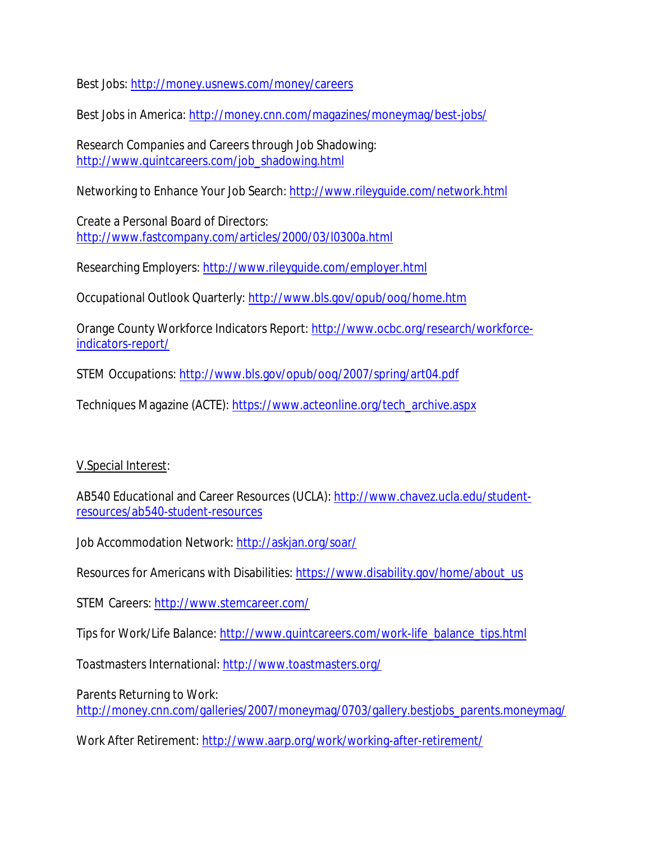Best Jobs: http://money.usnews.com/money/careers

Best Jobs in America: http://money.cnn.com/magazines/moneymag/best-jobs/

Research Companies and Careers through Job Shadowing: http://www.quintcareers.com/job\_shadowing.html

Networking to Enhance Your Job Search: http://www.rileyguide.com/network.html

Create a Personal Board of Directors: http://www.fastcompany.com/articles/2000/03/l0300a.html

Researching Employers: http://www.rileyguide.com/employer.html

Occupational Outlook Quarterly: http://www.bls.gov/opub/ooq/home.htm

Orange County Workforce Indicators Report: http://www.ocbc.org/research/workforceindicators-report/

STEM Occupations: http://www.bls.gov/opub/ooq/2007/spring/art04.pdf

Techniques Magazine (ACTE): https://www.acteonline.org/tech\_archive.aspx

## V.Special Interest:

AB540 Educational and Career Resources (UCLA): http://www.chavez.ucla.edu/studentresources/ab540-student-resources

Job Accommodation Network: http://askjan.org/soar/

Resources for Americans with Disabilities: https://www.disability.gov/home/about\_us

STEM Careers: http://www.stemcareer.com/

Tips for Work/Life Balance: http://www.quintcareers.com/work-life\_balance\_tips.html

Toastmasters International: http://www.toastmasters.org/

Parents Returning to Work:

http://money.cnn.com/galleries/2007/moneymag/0703/gallery.bestjobs\_parents.moneymag/

Work After Retirement: http://www.aarp.org/work/working-after-retirement/